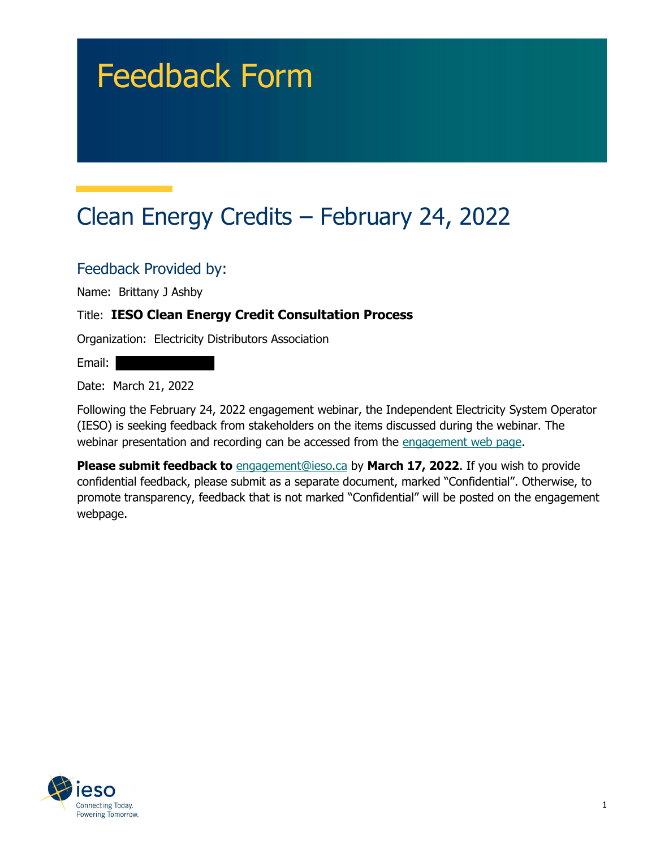# Feedback Form

# Clean Energy Credits – February 24, 2022

Feedback Provided by:

Name: Brittany J Ashby

#### Title: IESO Clean Energy Credit Consultation Process

Organization: Electricity Distributors Association

Email:

Date: March 21, 2022

 Following the February 24, 2022 engagement webinar, the Independent Electricity System Operator (IESO) is seeking feedback from stakeholders on the items discussed during the webinar. The webinar presentation and recording can be accessed from the engagement web page.

Please submit feedback to **[engagement@ieso.ca](mailto:engagement@ieso.ca)** by March 17, 2022. If you wish to provide confidential feedback, please submit as a separate document, marked "Confidential". Otherwise, to promote transparency, feedback that is not marked "Confidential" will be posted on the engagement webpage.

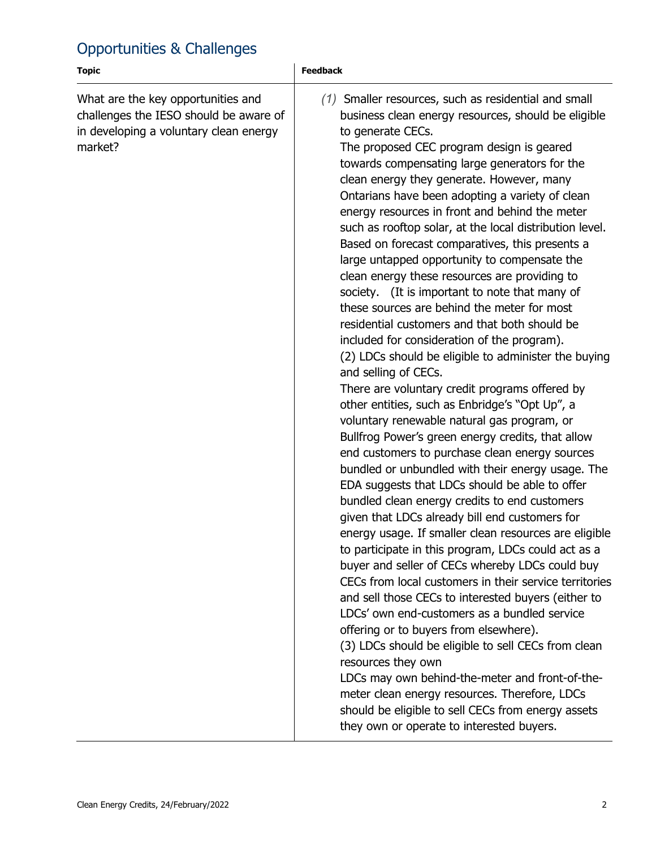## Opportunities & Challenges

| <b>Topic</b>                                                                                                                      | <b>Feedback</b>                                                                                                                                                                                                                                                                                                                                                                                                                                                                                                                                                                                                                                                                                                                                                                                                                                                                                                                                                                                                                                                                                                                                                                                                                                                                                                                                                                                                                                                                                                                                                                                                                                                                                                                                                                                                                                                                                                                                                                                                          |
|-----------------------------------------------------------------------------------------------------------------------------------|--------------------------------------------------------------------------------------------------------------------------------------------------------------------------------------------------------------------------------------------------------------------------------------------------------------------------------------------------------------------------------------------------------------------------------------------------------------------------------------------------------------------------------------------------------------------------------------------------------------------------------------------------------------------------------------------------------------------------------------------------------------------------------------------------------------------------------------------------------------------------------------------------------------------------------------------------------------------------------------------------------------------------------------------------------------------------------------------------------------------------------------------------------------------------------------------------------------------------------------------------------------------------------------------------------------------------------------------------------------------------------------------------------------------------------------------------------------------------------------------------------------------------------------------------------------------------------------------------------------------------------------------------------------------------------------------------------------------------------------------------------------------------------------------------------------------------------------------------------------------------------------------------------------------------------------------------------------------------------------------------------------------------|
| What are the key opportunities and<br>challenges the IESO should be aware of<br>in developing a voluntary clean energy<br>market? | $(1)$ Smaller resources, such as residential and small<br>business clean energy resources, should be eligible<br>to generate CECs.<br>The proposed CEC program design is geared<br>towards compensating large generators for the<br>clean energy they generate. However, many<br>Ontarians have been adopting a variety of clean<br>energy resources in front and behind the meter<br>such as rooftop solar, at the local distribution level.<br>Based on forecast comparatives, this presents a<br>large untapped opportunity to compensate the<br>clean energy these resources are providing to<br>society. (It is important to note that many of<br>these sources are behind the meter for most<br>residential customers and that both should be<br>included for consideration of the program).<br>(2) LDCs should be eligible to administer the buying<br>and selling of CECs.<br>There are voluntary credit programs offered by<br>other entities, such as Enbridge's "Opt Up", a<br>voluntary renewable natural gas program, or<br>Bullfrog Power's green energy credits, that allow<br>end customers to purchase clean energy sources<br>bundled or unbundled with their energy usage. The<br>EDA suggests that LDCs should be able to offer<br>bundled clean energy credits to end customers<br>given that LDCs already bill end customers for<br>energy usage. If smaller clean resources are eligible<br>to participate in this program, LDCs could act as a<br>buyer and seller of CECs whereby LDCs could buy<br>CECs from local customers in their service territories<br>and sell those CECs to interested buyers (either to<br>LDCs' own end-customers as a bundled service<br>offering or to buyers from elsewhere).<br>(3) LDCs should be eligible to sell CECs from clean<br>resources they own<br>LDCs may own behind-the-meter and front-of-the-<br>meter clean energy resources. Therefore, LDCs<br>should be eligible to sell CECs from energy assets<br>they own or operate to interested buyers. |
|                                                                                                                                   |                                                                                                                                                                                                                                                                                                                                                                                                                                                                                                                                                                                                                                                                                                                                                                                                                                                                                                                                                                                                                                                                                                                                                                                                                                                                                                                                                                                                                                                                                                                                                                                                                                                                                                                                                                                                                                                                                                                                                                                                                          |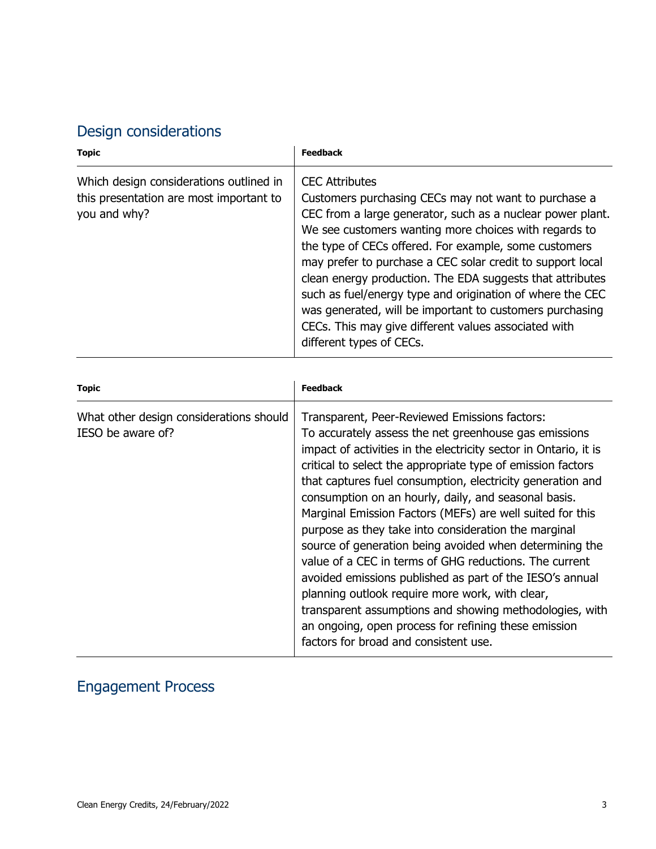# Design considerations

| <b>Topic</b>                                                                                       | <b>Feedback</b>                                                                                                                                                                                                                                                                                                                                                                                                                                                                                                                                                                                       |
|----------------------------------------------------------------------------------------------------|-------------------------------------------------------------------------------------------------------------------------------------------------------------------------------------------------------------------------------------------------------------------------------------------------------------------------------------------------------------------------------------------------------------------------------------------------------------------------------------------------------------------------------------------------------------------------------------------------------|
| Which design considerations outlined in<br>this presentation are most important to<br>you and why? | <b>CEC Attributes</b><br>Customers purchasing CECs may not want to purchase a<br>CEC from a large generator, such as a nuclear power plant.<br>We see customers wanting more choices with regards to<br>the type of CECs offered. For example, some customers<br>may prefer to purchase a CEC solar credit to support local<br>clean energy production. The EDA suggests that attributes<br>such as fuel/energy type and origination of where the CEC<br>was generated, will be important to customers purchasing<br>CECs. This may give different values associated with<br>different types of CECs. |
| <b>Topic</b>                                                                                       | <b>Feedback</b>                                                                                                                                                                                                                                                                                                                                                                                                                                                                                                                                                                                       |
| What other design considerations should<br>IESO be aware of?                                       | Transparent, Peer-Reviewed Emissions factors:<br>To accurately assess the net greenhouse gas emissions                                                                                                                                                                                                                                                                                                                                                                                                                                                                                                |

| <u>WILLOC OUTELL GESIGHT CONSIGERATIONS SHOULD</u> | <u>Halisparent, Feer-Reviewed Linissions factors.</u>            |
|----------------------------------------------------|------------------------------------------------------------------|
| IESO be aware of?                                  | To accurately assess the net greenhouse gas emissions            |
|                                                    | impact of activities in the electricity sector in Ontario, it is |
|                                                    | critical to select the appropriate type of emission factors      |
|                                                    | that captures fuel consumption, electricity generation and       |
|                                                    | consumption on an hourly, daily, and seasonal basis.             |
|                                                    | Marginal Emission Factors (MEFs) are well suited for this        |
|                                                    | purpose as they take into consideration the marginal             |
|                                                    | source of generation being avoided when determining the          |
|                                                    | value of a CEC in terms of GHG reductions. The current           |
|                                                    | avoided emissions published as part of the IESO's annual         |
|                                                    | planning outlook require more work, with clear,                  |
|                                                    | transparent assumptions and showing methodologies, with          |
|                                                    | an ongoing, open process for refining these emission             |
|                                                    | factors for broad and consistent use.                            |
|                                                    |                                                                  |

### Engagement Process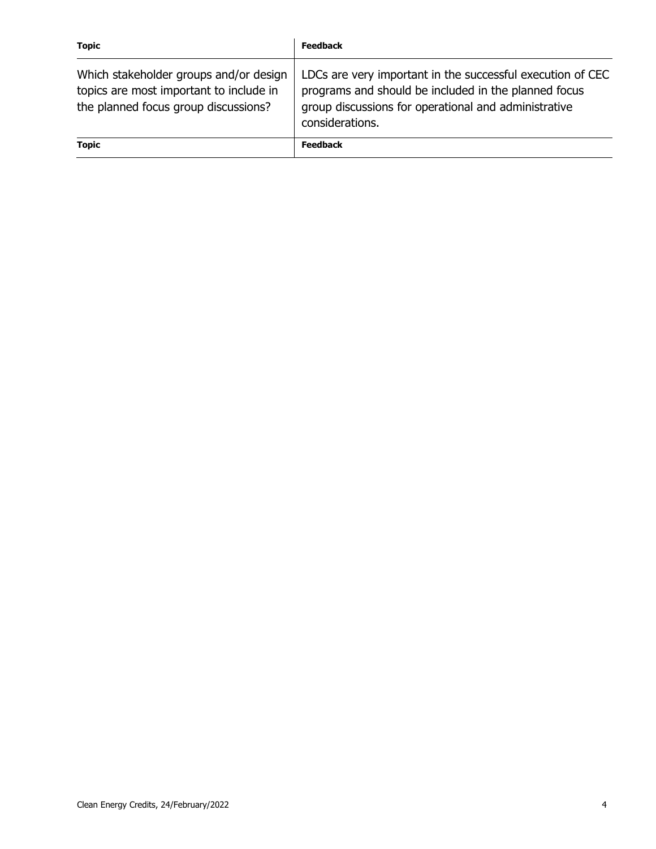| <b>Topic</b>                                                                                                              | <b>Feedback</b>                                                                                                                                                                               |
|---------------------------------------------------------------------------------------------------------------------------|-----------------------------------------------------------------------------------------------------------------------------------------------------------------------------------------------|
| Which stakeholder groups and/or design<br>topics are most important to include in<br>the planned focus group discussions? | LDCs are very important in the successful execution of CEC<br>programs and should be included in the planned focus<br>group discussions for operational and administrative<br>considerations. |
| <b>Topic</b>                                                                                                              | <b>Feedback</b>                                                                                                                                                                               |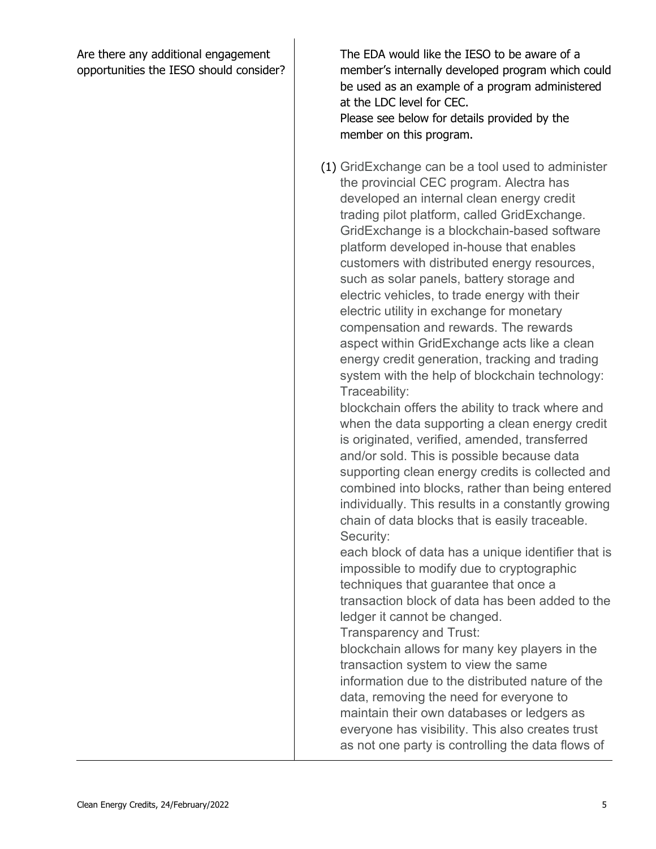Are there any additional engagement opportunities the IESO should consider?  The EDA would like the IESO to be aware of a member's internally developed program which could be used as an example of a program administered at the LDC level for CEC. Please see below for details provided by the member on this program.

 (1) GridExchange can be a tool used to administer the provincial CEC program. Alectra has developed an internal clean energy credit trading pilot platform, called GridExchange. GridExchange is a blockchain-based software platform developed in-house that enables customers with distributed energy resources, such as solar panels, battery storage and electric vehicles, to trade energy with their electric utility in exchange for monetary compensation and rewards. The rewards aspect within GridExchange acts like a clean energy credit generation, tracking and trading system with the help of blockchain technology: Traceability:

 blockchain offers the ability to track where and when the data supporting a clean energy credit is originated, verified, amended, transferred and/or sold. This is possible because data supporting clean energy credits is collected and combined into blocks, rather than being entered individually. This results in a constantly growing chain of data blocks that is easily traceable. Security:

 each block of data has a unique identifier that is impossible to modify due to cryptographic techniques that guarantee that once a transaction block of data has been added to the ledger it cannot be changed.

Transparency and Trust:

 blockchain allows for many key players in the transaction system to view the same information due to the distributed nature of the data, removing the need for everyone to maintain their own databases or ledgers as everyone has visibility. This also creates trust as not one party is controlling the data flows of